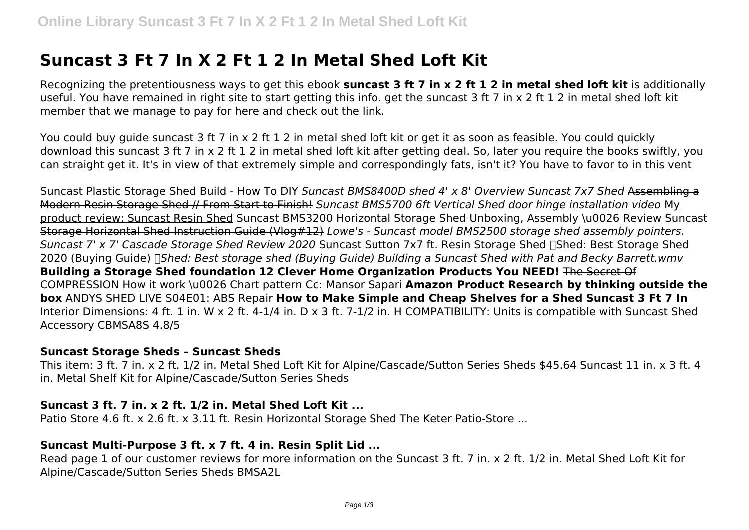# **Suncast 3 Ft 7 In X 2 Ft 1 2 In Metal Shed Loft Kit**

Recognizing the pretentiousness ways to get this ebook **suncast 3 ft 7 in x 2 ft 1 2 in metal shed loft kit** is additionally useful. You have remained in right site to start getting this info. get the suncast 3 ft 7 in x 2 ft 1 2 in metal shed loft kit member that we manage to pay for here and check out the link.

You could buy guide suncast 3 ft 7 in x 2 ft 1 2 in metal shed loft kit or get it as soon as feasible. You could quickly download this suncast 3 ft 7 in x 2 ft 1 2 in metal shed loft kit after getting deal. So, later you require the books swiftly, you can straight get it. It's in view of that extremely simple and correspondingly fats, isn't it? You have to favor to in this vent

Suncast Plastic Storage Shed Build - How To DIY *Suncast BMS8400D shed 4' x 8' Overview Suncast 7x7 Shed* Assembling a Modern Resin Storage Shed // From Start to Finish! *Suncast BMS5700 6ft Vertical Shed door hinge installation video* My product review: Suncast Resin Shed Suncast BMS3200 Horizontal Storage Shed Unboxing, Assembly \u0026 Review Suncast Storage Horizontal Shed Instruction Guide (Vlog#12) *Lowe's - Suncast model BMS2500 storage shed assembly pointers. Suncast 7' x 7' Cascade Storage Shed Review 2020* Suncast Sutton 7x7 ft. Resin Storage Shed ✅Shed: Best Storage Shed 2020 (Buying Guide) *□Shed: Best storage shed (Buying Guide) Building a Suncast Shed with Pat and Becky Barrett.wmv* **Building a Storage Shed foundation 12 Clever Home Organization Products You NEED!** The Secret Of COMPRESSION How it work \u0026 Chart pattern Cc: Mansor Sapari **Amazon Product Research by thinking outside the box** ANDYS SHED LIVE S04E01: ABS Repair **How to Make Simple and Cheap Shelves for a Shed Suncast 3 Ft 7 In** Interior Dimensions: 4 ft. 1 in. W x 2 ft. 4-1/4 in. D x 3 ft. 7-1/2 in. H COMPATIBILITY: Units is compatible with Suncast Shed Accessory CBMSA8S 4.8/5

#### **Suncast Storage Sheds – Suncast Sheds**

This item: 3 ft. 7 in. x 2 ft. 1/2 in. Metal Shed Loft Kit for Alpine/Cascade/Sutton Series Sheds \$45.64 Suncast 11 in. x 3 ft. 4 in. Metal Shelf Kit for Alpine/Cascade/Sutton Series Sheds

#### **Suncast 3 ft. 7 in. x 2 ft. 1/2 in. Metal Shed Loft Kit ...**

Patio Store 4.6 ft. x 2.6 ft. x 3.11 ft. Resin Horizontal Storage Shed The Keter Patio-Store ...

## **Suncast Multi-Purpose 3 ft. x 7 ft. 4 in. Resin Split Lid ...**

Read page 1 of our customer reviews for more information on the Suncast 3 ft. 7 in. x 2 ft. 1/2 in. Metal Shed Loft Kit for Alpine/Cascade/Sutton Series Sheds BMSA2L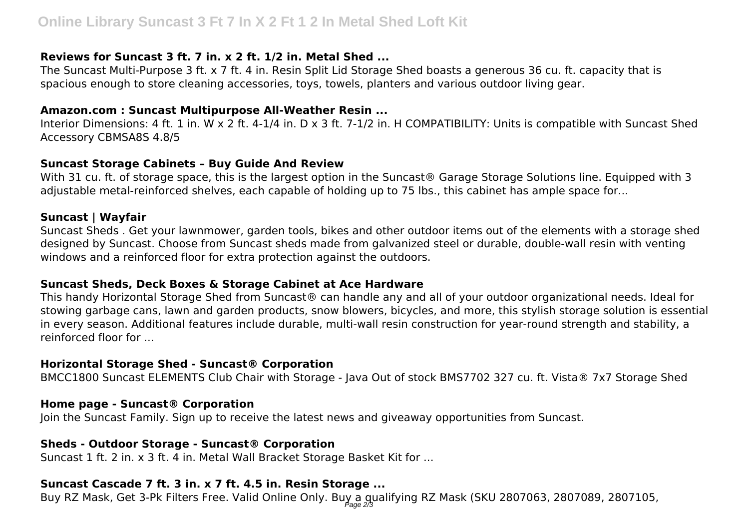#### **Reviews for Suncast 3 ft. 7 in. x 2 ft. 1/2 in. Metal Shed ...**

The Suncast Multi-Purpose 3 ft. x 7 ft. 4 in. Resin Split Lid Storage Shed boasts a generous 36 cu. ft. capacity that is spacious enough to store cleaning accessories, toys, towels, planters and various outdoor living gear.

#### **Amazon.com : Suncast Multipurpose All-Weather Resin ...**

Interior Dimensions: 4 ft. 1 in. W x 2 ft. 4-1/4 in. D x 3 ft. 7-1/2 in. H COMPATIBILITY: Units is compatible with Suncast Shed Accessory CBMSA8S 4.8/5

## **Suncast Storage Cabinets – Buy Guide And Review**

With 31 cu. ft. of storage space, this is the largest option in the Suncast® Garage Storage Solutions line. Equipped with 3 adjustable metal-reinforced shelves, each capable of holding up to 75 lbs., this cabinet has ample space for...

## **Suncast | Wayfair**

Suncast Sheds . Get your lawnmower, garden tools, bikes and other outdoor items out of the elements with a storage shed designed by Suncast. Choose from Suncast sheds made from galvanized steel or durable, double-wall resin with venting windows and a reinforced floor for extra protection against the outdoors.

## **Suncast Sheds, Deck Boxes & Storage Cabinet at Ace Hardware**

This handy Horizontal Storage Shed from Suncast® can handle any and all of your outdoor organizational needs. Ideal for stowing garbage cans, lawn and garden products, snow blowers, bicycles, and more, this stylish storage solution is essential in every season. Additional features include durable, multi-wall resin construction for year-round strength and stability, a reinforced floor for ...

## **Horizontal Storage Shed - Suncast® Corporation**

BMCC1800 Suncast ELEMENTS Club Chair with Storage - Java Out of stock BMS7702 327 cu. ft. Vista® 7x7 Storage Shed

## **Home page - Suncast® Corporation**

Join the Suncast Family. Sign up to receive the latest news and giveaway opportunities from Suncast.

## **Sheds - Outdoor Storage - Suncast® Corporation**

Suncast 1 ft. 2 in. x 3 ft. 4 in. Metal Wall Bracket Storage Basket Kit for ...

## **Suncast Cascade 7 ft. 3 in. x 7 ft. 4.5 in. Resin Storage ...**

Buy RZ Mask, Get 3-Pk Filters Free. Valid Online Only. Buy a gualifying RZ Mask (SKU 2807063, 2807089, 2807105,